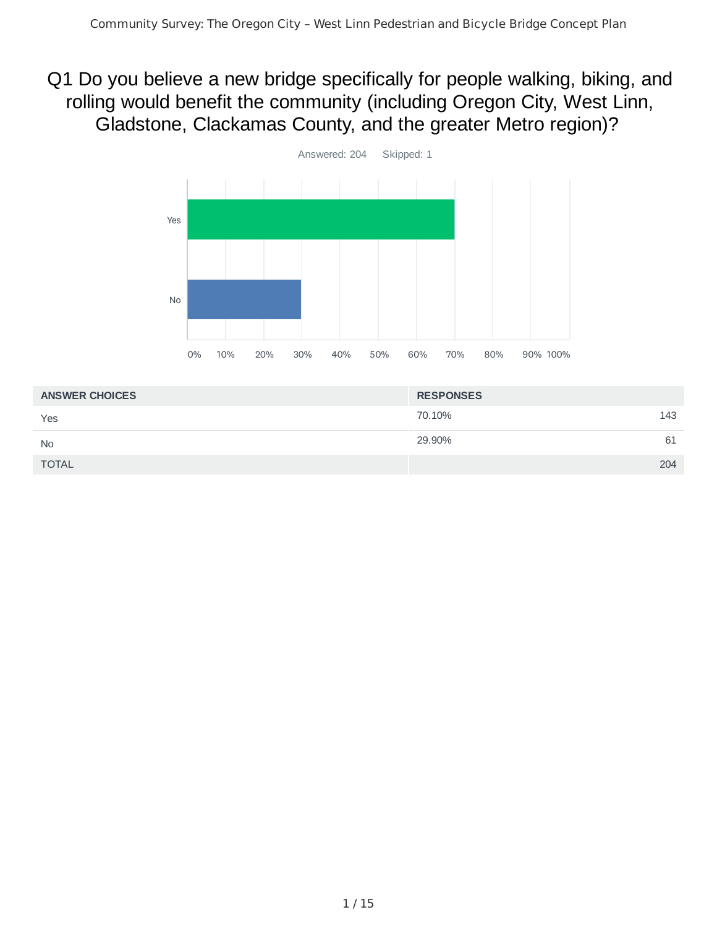## Q1 Do you believe a new bridge specifically for people walking, biking, and rolling would benefit the community (including Oregon City, West Linn, Gladstone, Clackamas County, and the greater Metro region)?



| <b>ANSWER CHOICES</b> | <b>RESPONSES</b> |     |
|-----------------------|------------------|-----|
| Yes                   | 70.10%           | 143 |
| <b>No</b>             | 29.90%           | 61  |
| <b>TOTAL</b>          |                  | 204 |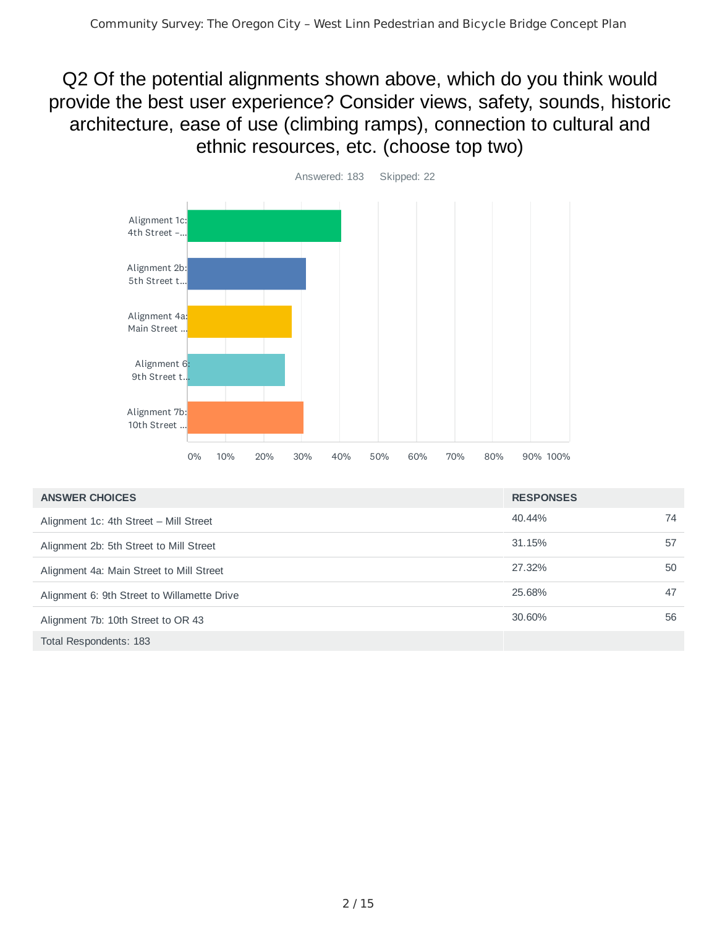Q2 Of the potential alignments shown above, which do you think would provide the best user experience? Consider views, safety, sounds, historic architecture, ease of use (climbing ramps), connection to cultural and ethnic resources, etc. (choose top two)



| <b>ANSWER CHOICES</b>                       | <b>RESPONSES</b> |    |
|---------------------------------------------|------------------|----|
| Alignment 1c: 4th Street - Mill Street      | 40.44%           | 74 |
| Alignment 2b: 5th Street to Mill Street     | 31.15%           | 57 |
| Alignment 4a: Main Street to Mill Street    | 27.32%           | 50 |
| Alignment 6: 9th Street to Willamette Drive | 25.68%           | 47 |
| Alignment 7b: 10th Street to OR 43          | 30.60%           | 56 |
| Total Respondents: 183                      |                  |    |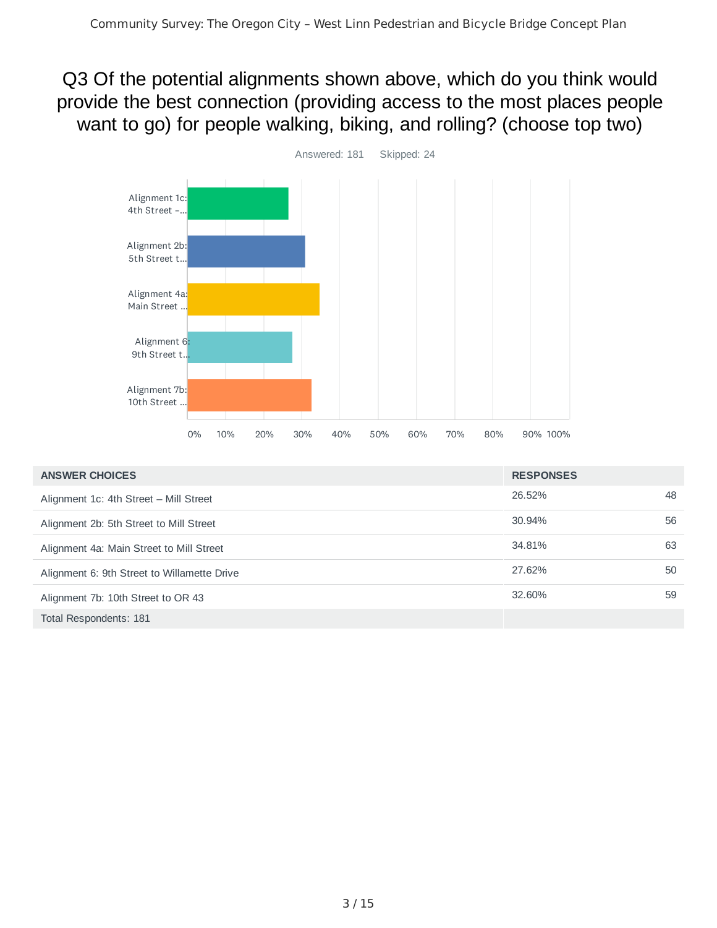Q3 Of the potential alignments shown above, which do you think would provide the best connection (providing access to the most places people want to go) for people walking, biking, and rolling? (choose top two)



| <b>ANSWER CHOICES</b>                       | <b>RESPONSES</b> |    |
|---------------------------------------------|------------------|----|
| Alignment 1c: 4th Street - Mill Street      | 26.52%           | 48 |
| Alignment 2b: 5th Street to Mill Street     | 30.94%           | 56 |
| Alignment 4a: Main Street to Mill Street    | 34.81%           | 63 |
| Alignment 6: 9th Street to Willamette Drive | 27.62%           | 50 |
| Alignment 7b: 10th Street to OR 43          | 32.60%           | 59 |
| Total Respondents: 181                      |                  |    |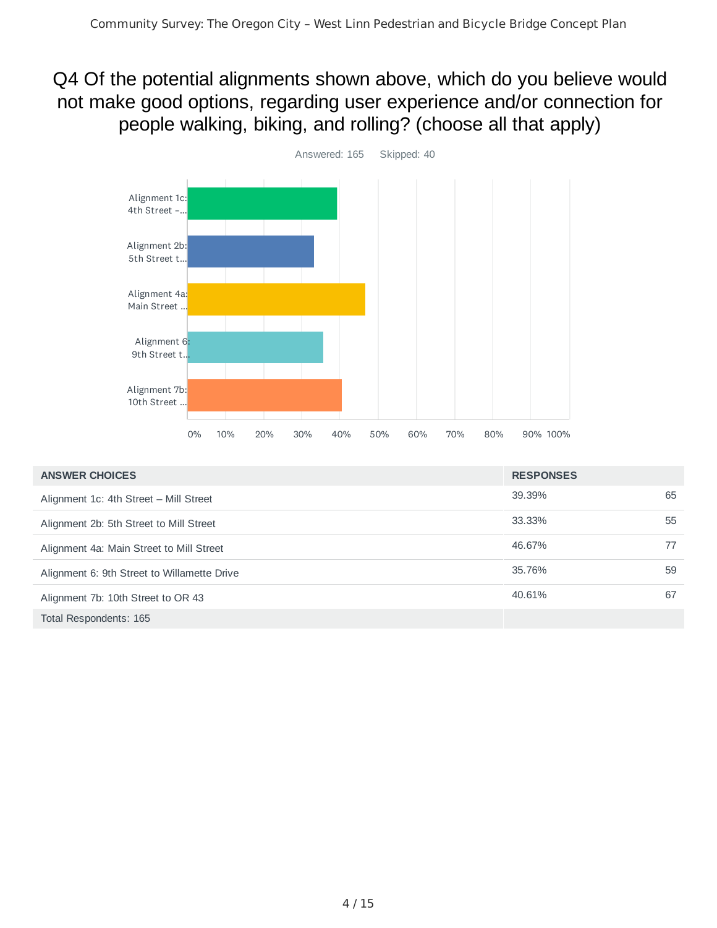Q4 Of the potential alignments shown above, which do you believe would not make good options, regarding user experience and/or connection for people walking, biking, and rolling? (choose all that apply)



| <b>ANSWER CHOICES</b>                       | <b>RESPONSES</b> |    |
|---------------------------------------------|------------------|----|
| Alignment 1c: 4th Street - Mill Street      | 39.39%           | 65 |
| Alignment 2b: 5th Street to Mill Street     | 33.33%           | 55 |
| Alignment 4a: Main Street to Mill Street    | 46.67%           | 77 |
| Alignment 6: 9th Street to Willamette Drive | 35.76%           | 59 |
| Alignment 7b: 10th Street to OR 43          | 40.61%           | 67 |
| Total Respondents: 165                      |                  |    |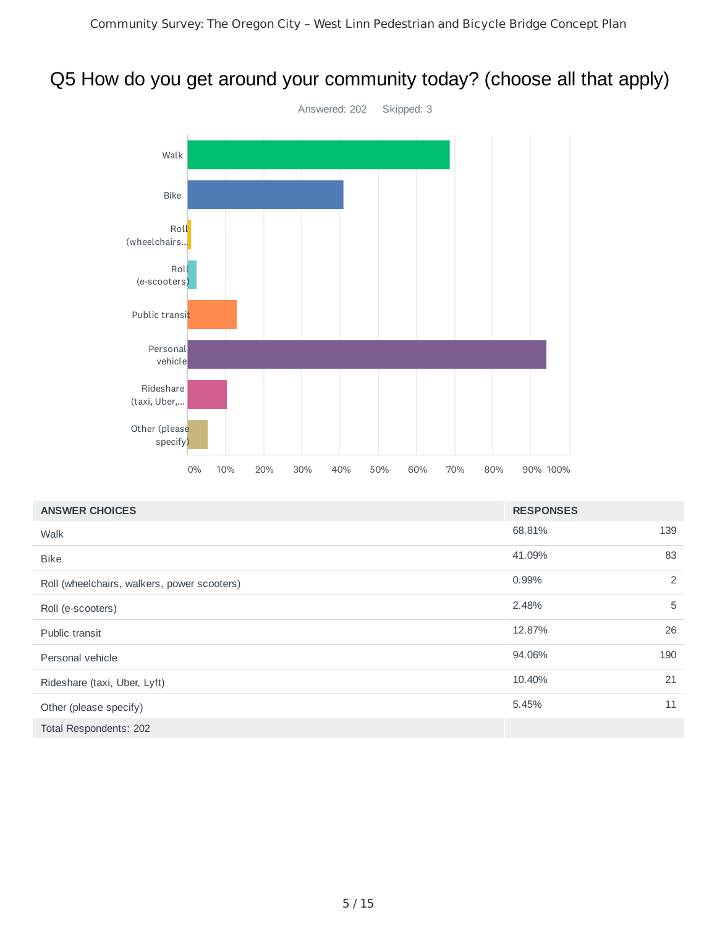## Q5 How do you get around your community today? (choose all that apply)



| <b>ANSWER CHOICES</b>                       | <b>RESPONSES</b> |     |
|---------------------------------------------|------------------|-----|
| Walk                                        | 68.81%           | 139 |
| <b>Bike</b>                                 | 41.09%           | 83  |
| Roll (wheelchairs, walkers, power scooters) | 0.99%            | 2   |
| Roll (e-scooters)                           | 2.48%            | 5   |
| Public transit                              | 12.87%           | 26  |
| Personal vehicle                            | 94.06%           | 190 |
| Rideshare (taxi, Uber, Lyft)                | 10.40%           | 21  |
| Other (please specify)                      | 5.45%            | 11  |
| Total Respondents: 202                      |                  |     |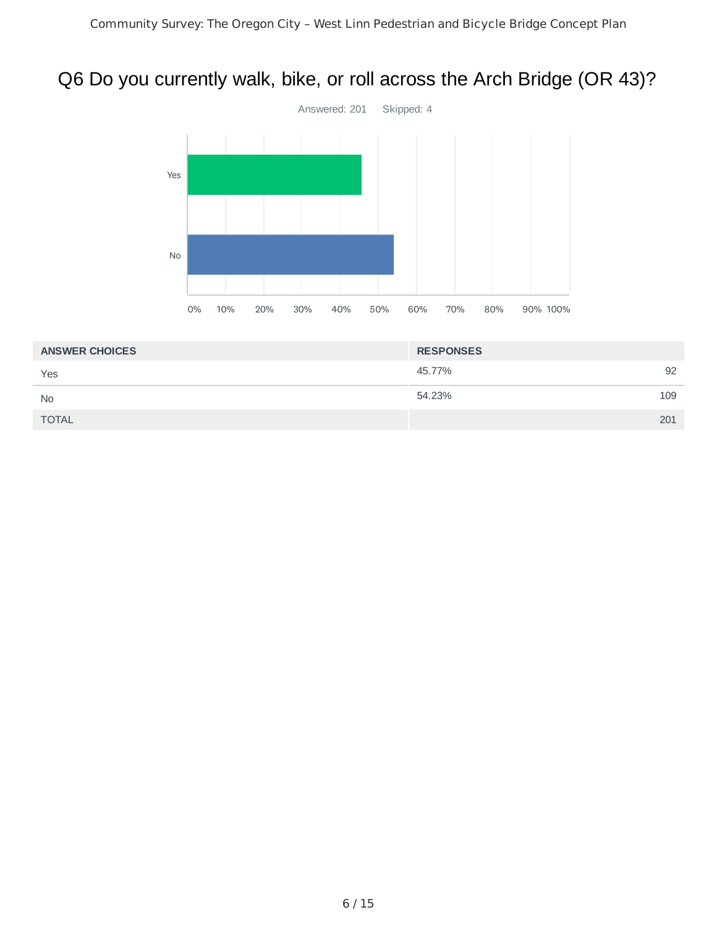## Q6 Do you currently walk, bike, or roll across the Arch Bridge (OR 43)?



| <b>RESPONSES</b> |     |
|------------------|-----|
| 45.77%           | 92  |
| 54.23%           | 109 |
|                  | 201 |
|                  |     |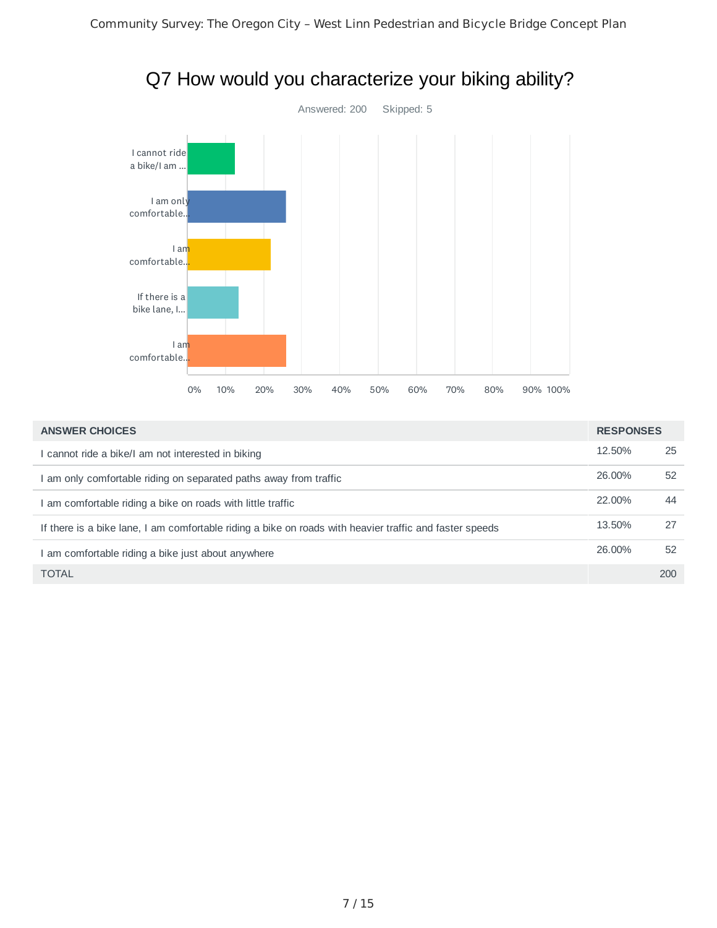

| Q7 How would you characterize your biking ability? |
|----------------------------------------------------|
|----------------------------------------------------|

| <b>ANSWER CHOICES</b>                                                                                   | <b>RESPONSES</b> |     |
|---------------------------------------------------------------------------------------------------------|------------------|-----|
| l cannot ride a bike/I am not interested in biking l                                                    | 12.50%           | 25  |
| am only comfortable riding on separated paths away from traffic                                         | 26.00%           | 52  |
| am comfortable riding a bike on roads with little traffic                                               | 22.00%           | 44  |
| If there is a bike lane, I am comfortable riding a bike on roads with heavier traffic and faster speeds | 13.50%           | 27  |
| am comfortable riding a bike just about anywhere                                                        | 26.00%           | 52  |
| <b>TOTAL</b>                                                                                            |                  | 200 |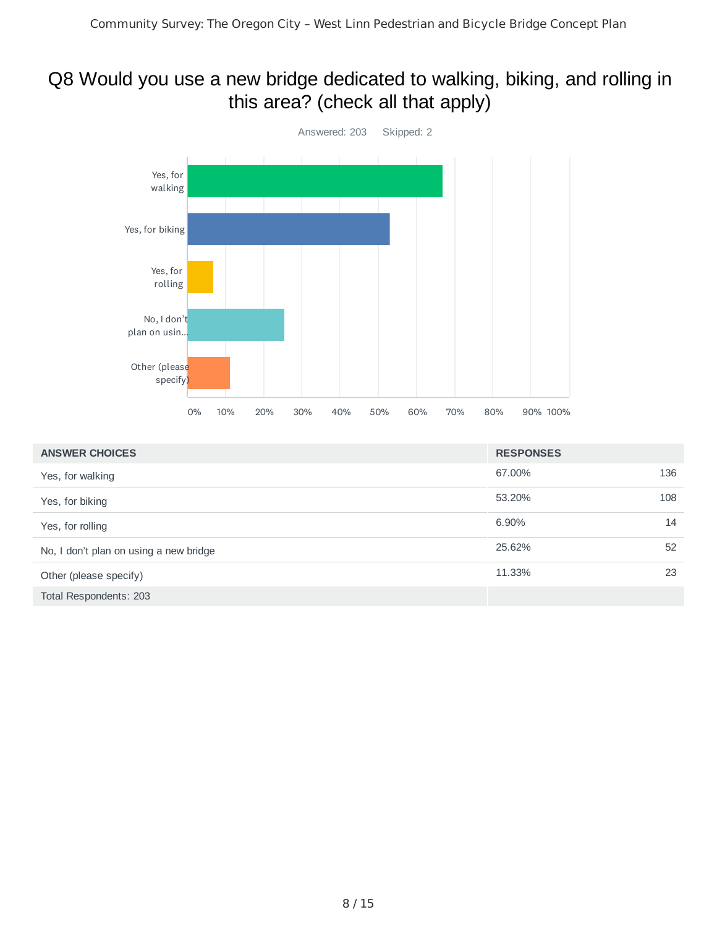## Q8 Would you use a new bridge dedicated to walking, biking, and rolling in this area? (check all that apply)



| <b>ANSWER CHOICES</b>                  | <b>RESPONSES</b> |     |
|----------------------------------------|------------------|-----|
| Yes, for walking                       | 67.00%           | 136 |
| Yes, for biking                        | 53.20%           | 108 |
| Yes, for rolling                       | 6.90%            | 14  |
| No, I don't plan on using a new bridge | 25.62%           | 52  |
| Other (please specify)                 | 11.33%           | 23  |
| Total Respondents: 203                 |                  |     |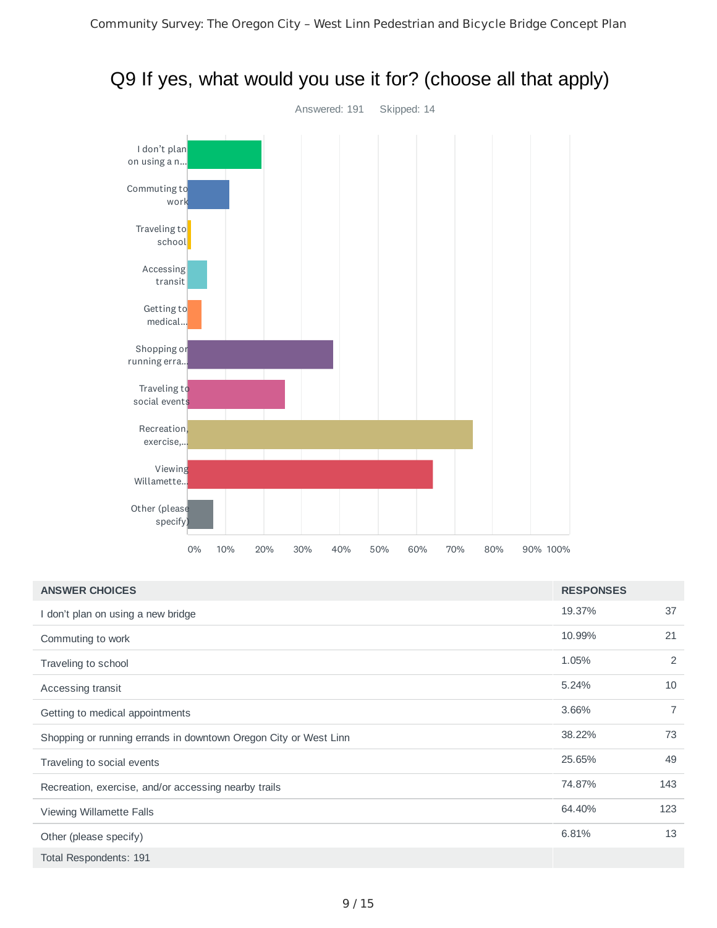

# Q9 If yes, what would you use it for? (choose all that apply)

| <b>ANSWER CHOICES</b>                                            | <b>RESPONSES</b> |                |
|------------------------------------------------------------------|------------------|----------------|
| I don't plan on using a new bridge                               | 19.37%           | 37             |
| Commuting to work                                                | 10.99%           | 21             |
| Traveling to school                                              | 1.05%            | 2              |
| Accessing transit                                                | 5.24%            | 10             |
| Getting to medical appointments                                  | 3.66%            | $\overline{7}$ |
| Shopping or running errands in downtown Oregon City or West Linn | 38.22%           | 73             |
| Traveling to social events                                       | 25.65%           | 49             |
| Recreation, exercise, and/or accessing nearby trails             | 74.87%           | 143            |
| Viewing Willamette Falls                                         | 64.40%           | 123            |
| Other (please specify)                                           | 6.81%            | 13             |
| Total Respondents: 191                                           |                  |                |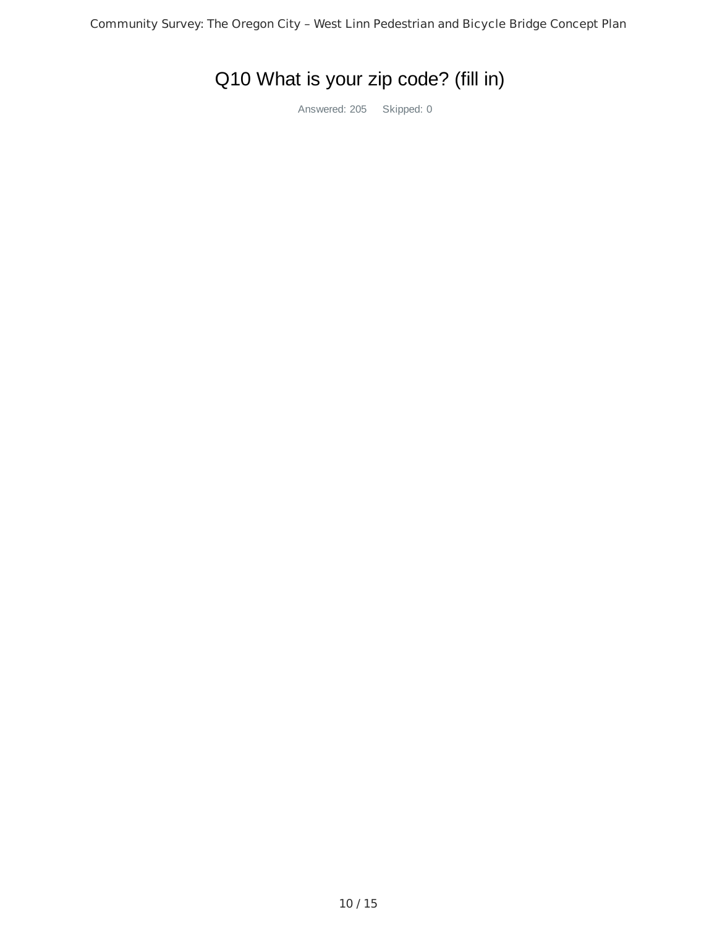# Q10 What is your zip code? (fill in)

Answered: 205 Skipped: 0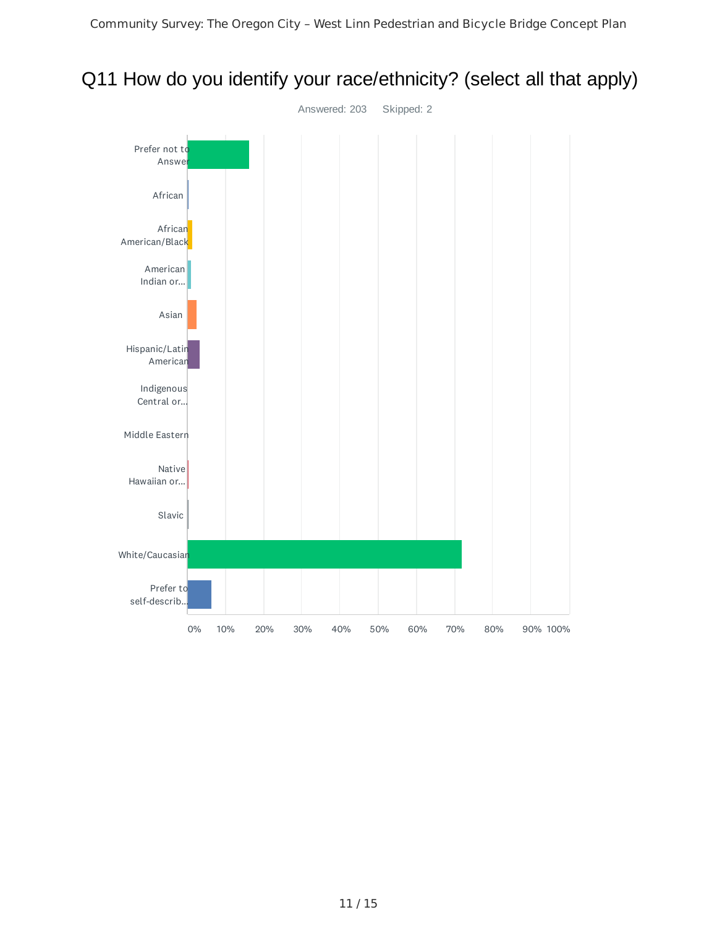

## Q11 How do you identify your race/ethnicity? (select all that apply)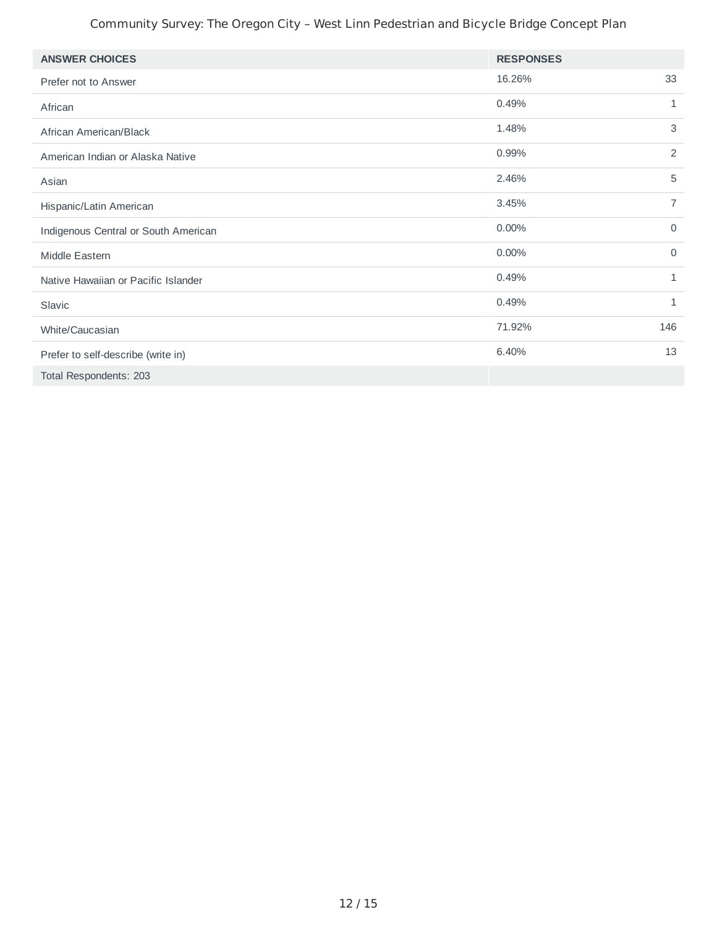#### Community Survey: The Oregon City – West Linn Pedestrian and Bicycle Bridge Concept Plan

| <b>ANSWER CHOICES</b>                | <b>RESPONSES</b> |                |
|--------------------------------------|------------------|----------------|
| Prefer not to Answer                 | 16.26%           | 33             |
| African                              | 0.49%            | $\mathbf{1}$   |
| African American/Black               | 1.48%            | 3              |
| American Indian or Alaska Native     | 0.99%            | $\overline{c}$ |
| Asian                                | 2.46%            | 5              |
| Hispanic/Latin American              | 3.45%            | $\overline{7}$ |
| Indigenous Central or South American | 0.00%            | $\mathbf 0$    |
| Middle Eastern                       | 0.00%            | $\Omega$       |
| Native Hawaiian or Pacific Islander  | 0.49%            | 1              |
| Slavic                               | 0.49%            | 1              |
| White/Caucasian                      | 71.92%           | 146            |
| Prefer to self-describe (write in)   | 6.40%            | 13             |
| Total Respondents: 203               |                  |                |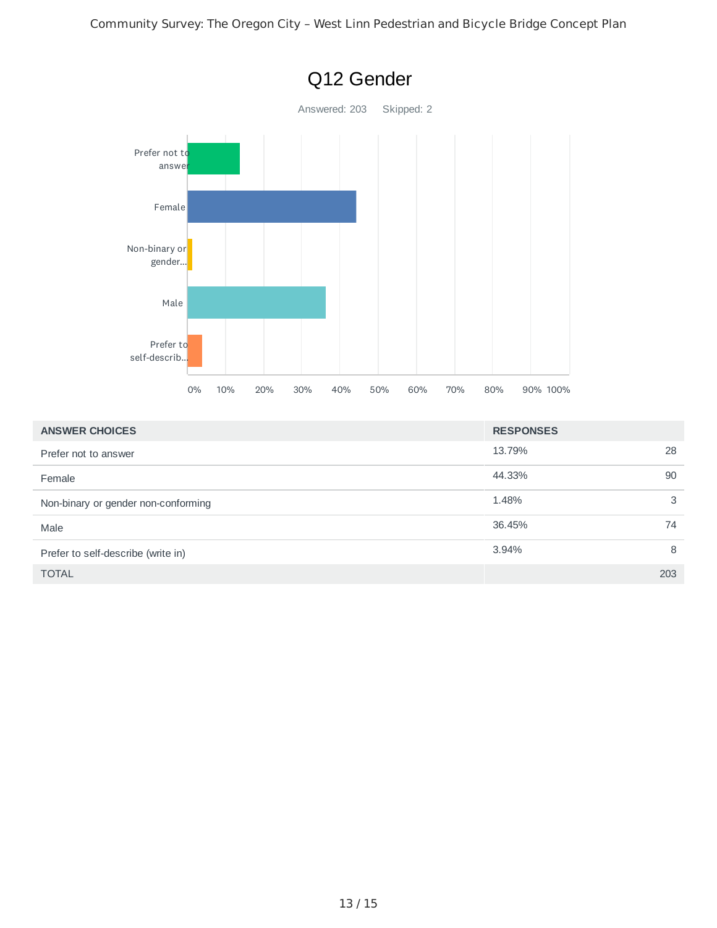

| <b>ANSWER CHOICES</b>               | <b>RESPONSES</b> |     |
|-------------------------------------|------------------|-----|
| Prefer not to answer                | 13.79%           | 28  |
| Female                              | 44.33%           | 90  |
| Non-binary or gender non-conforming | 1.48%            | 3   |
| Male                                | 36.45%           | 74  |
| Prefer to self-describe (write in)  | 3.94%            | 8   |
| <b>TOTAL</b>                        |                  | 203 |

## Q12 Gender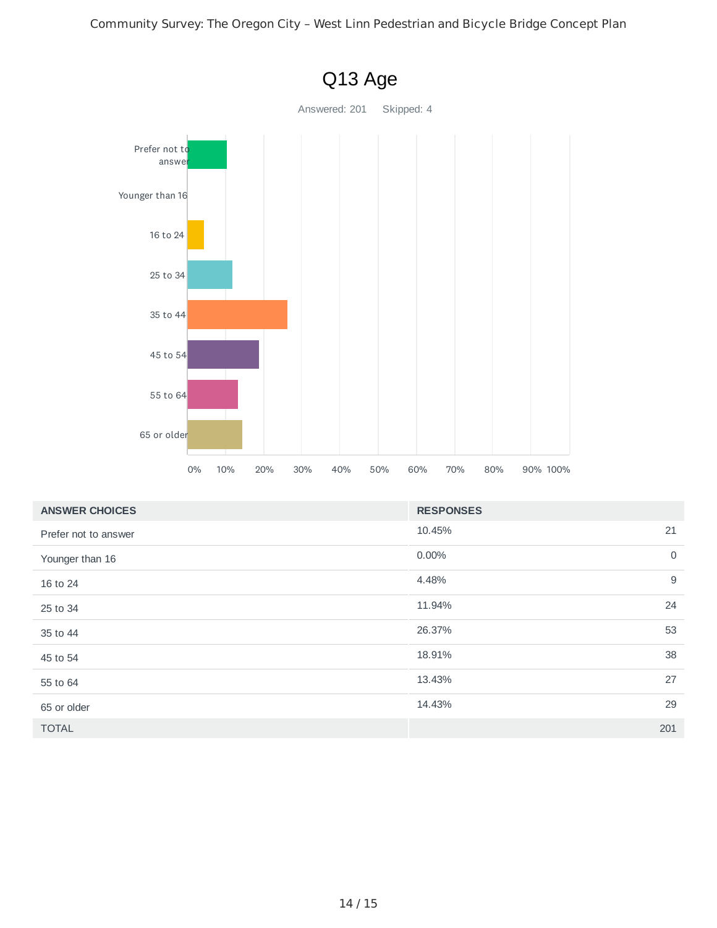

| <b>ANSWER CHOICES</b> | <b>RESPONSES</b>        |
|-----------------------|-------------------------|
| Prefer not to answer  | 21<br>10.45%            |
| Younger than 16       | $\overline{0}$<br>0.00% |
| 16 to 24              | 9<br>4.48%              |
| 25 to 34              | 24<br>11.94%            |
| 35 to 44              | 53<br>26.37%            |
| 45 to 54              | 38<br>18.91%            |
| 55 to 64              | 27<br>13.43%            |
| 65 or older           | 29<br>14.43%            |
| <b>TOTAL</b>          | 201                     |